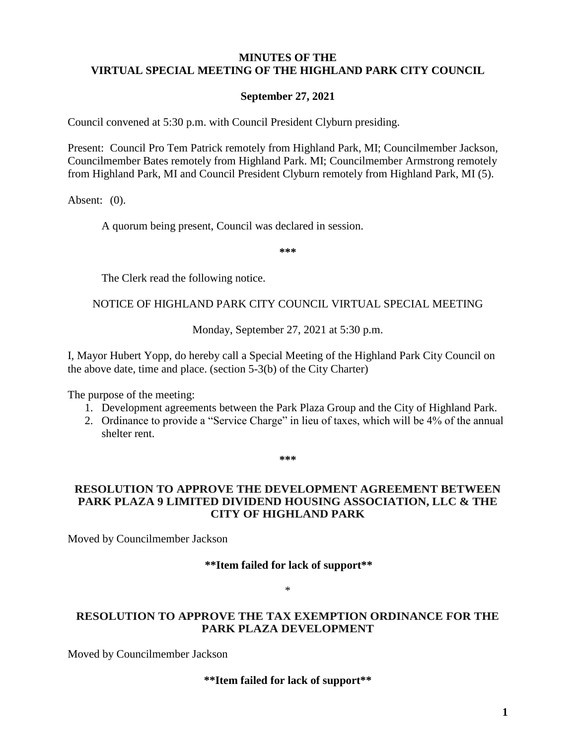## **MINUTES OF THE VIRTUAL SPECIAL MEETING OF THE HIGHLAND PARK CITY COUNCIL**

### **September 27, 2021**

Council convened at 5:30 p.m. with Council President Clyburn presiding.

Present: Council Pro Tem Patrick remotely from Highland Park, MI; Councilmember Jackson, Councilmember Bates remotely from Highland Park. MI; Councilmember Armstrong remotely from Highland Park, MI and Council President Clyburn remotely from Highland Park, MI (5).

Absent: (0).

A quorum being present, Council was declared in session.

**\*\*\***

The Clerk read the following notice.

#### NOTICE OF HIGHLAND PARK CITY COUNCIL VIRTUAL SPECIAL MEETING

Monday, September 27, 2021 at 5:30 p.m.

I, Mayor Hubert Yopp, do hereby call a Special Meeting of the Highland Park City Council on the above date, time and place. (section 5-3(b) of the City Charter)

The purpose of the meeting:

- 1. Development agreements between the Park Plaza Group and the City of Highland Park.
- 2. Ordinance to provide a "Service Charge" in lieu of taxes, which will be 4% of the annual shelter rent.

**\*\*\***

### **RESOLUTION TO APPROVE THE DEVELOPMENT AGREEMENT BETWEEN PARK PLAZA 9 LIMITED DIVIDEND HOUSING ASSOCIATION, LLC & THE CITY OF HIGHLAND PARK**

Moved by Councilmember Jackson

#### **\*\*Item failed for lack of support\*\***

\*

#### **RESOLUTION TO APPROVE THE TAX EXEMPTION ORDINANCE FOR THE PARK PLAZA DEVELOPMENT**

Moved by Councilmember Jackson

**\*\*Item failed for lack of support\*\***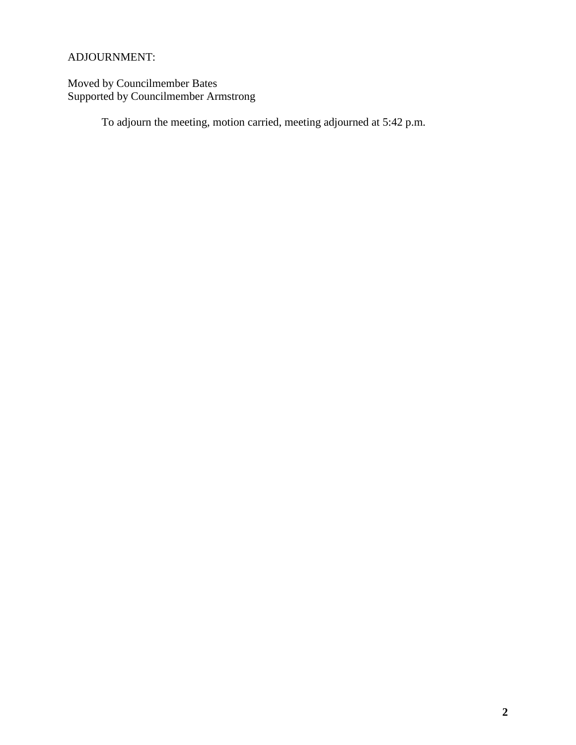# ADJOURNMENT:

Moved by Councilmember Bates Supported by Councilmember Armstrong

To adjourn the meeting, motion carried, meeting adjourned at 5:42 p.m.